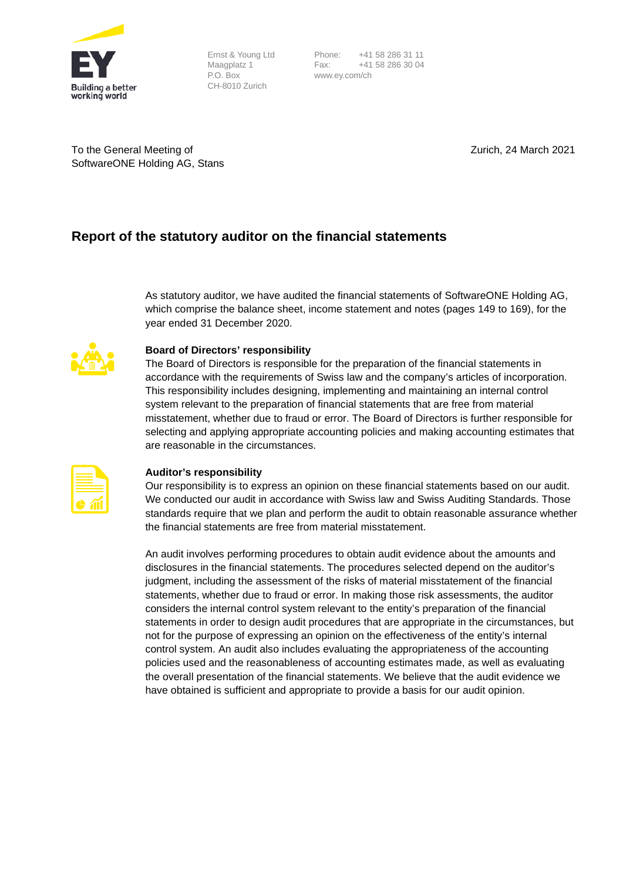

Ernst & Young Ltd Maagplatz 1 P.O. Box CH-8010 Zurich

Phone: +41 58 286 31 11<br>Fax: +41 58 286 30 04 Fax: +41 58 286 30 04 www.ey.com/ch

To the General Meeting of SoftwareONE Holding AG, Stans Zurich, 24 March 2021

# **Report of the statutory auditor on the financial statements**

As statutory auditor, we have audited the financial statements of SoftwareONE Holding AG, which comprise the balance sheet, income statement and notes (pages 149 to 169), for the year ended 31 December 2020.



#### **Board of Directors' responsibility**

The Board of Directors is responsible for the preparation of the financial statements in accordance with the requirements of Swiss law and the company's articles of incorporation. This responsibility includes designing, implementing and maintaining an internal control system relevant to the preparation of financial statements that are free from material misstatement, whether due to fraud or error. The Board of Directors is further responsible for selecting and applying appropriate accounting policies and making accounting estimates that are reasonable in the circumstances.

| <u> The Common Section of the Common Section of</u><br><u> The Common Section of the Common Section of</u><br><u> The Common Section of the Common Section of</u> |  |
|-------------------------------------------------------------------------------------------------------------------------------------------------------------------|--|
|                                                                                                                                                                   |  |

#### **Auditor's responsibility**

Our responsibility is to express an opinion on these financial statements based on our audit. We conducted our audit in accordance with Swiss law and Swiss Auditing Standards. Those standards require that we plan and perform the audit to obtain reasonable assurance whether the financial statements are free from material misstatement.

An audit involves performing procedures to obtain audit evidence about the amounts and disclosures in the financial statements. The procedures selected depend on the auditor's judgment, including the assessment of the risks of material misstatement of the financial statements, whether due to fraud or error. In making those risk assessments, the auditor considers the internal control system relevant to the entity's preparation of the financial statements in order to design audit procedures that are appropriate in the circumstances, but not for the purpose of expressing an opinion on the effectiveness of the entity's internal control system. An audit also includes evaluating the appropriateness of the accounting policies used and the reasonableness of accounting estimates made, as well as evaluating the overall presentation of the financial statements. We believe that the audit evidence we have obtained is sufficient and appropriate to provide a basis for our audit opinion.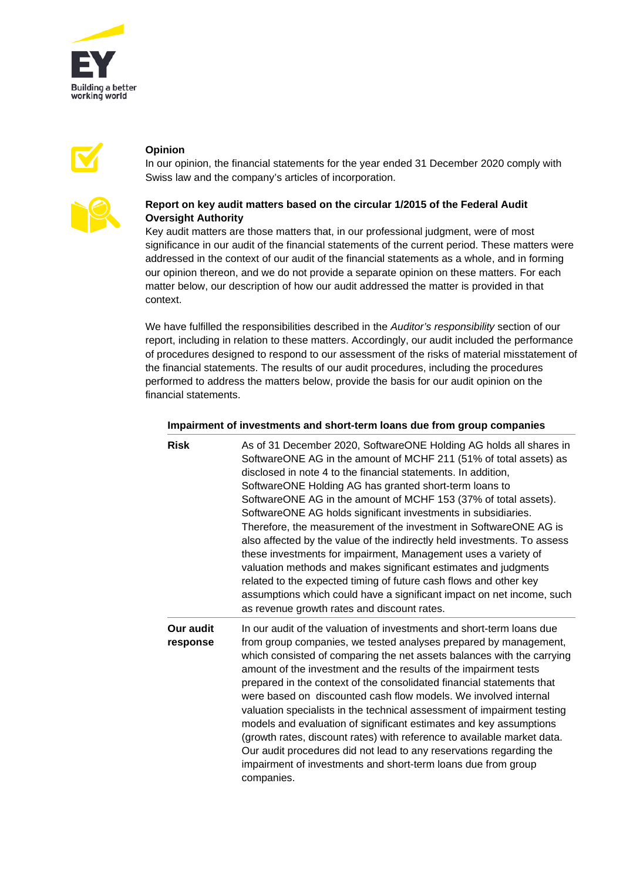



# **Opinion**

In our opinion, the financial statements for the year ended 31 December 2020 comply with Swiss law and the company's articles of incorporation.



## **Report on key audit matters based on the circular 1/2015 of the Federal Audit Oversight Authority**

Key audit matters are those matters that, in our professional judgment, were of most significance in our audit of the financial statements of the current period. These matters were addressed in the context of our audit of the financial statements as a whole, and in forming our opinion thereon, and we do not provide a separate opinion on these matters. For each matter below, our description of how our audit addressed the matter is provided in that context.

We have fulfilled the responsibilities described in the *Auditor's responsibility* section of our report, including in relation to these matters. Accordingly, our audit included the performance of procedures designed to respond to our assessment of the risks of material misstatement of the financial statements. The results of our audit procedures, including the procedures performed to address the matters below, provide the basis for our audit opinion on the financial statements.

## **Impairment of investments and short-term loans due from group companies**

| <b>Risk</b>           | As of 31 December 2020, SoftwareONE Holding AG holds all shares in<br>SoftwareONE AG in the amount of MCHF 211 (51% of total assets) as<br>disclosed in note 4 to the financial statements. In addition,<br>SoftwareONE Holding AG has granted short-term loans to<br>SoftwareONE AG in the amount of MCHF 153 (37% of total assets).<br>SoftwareONE AG holds significant investments in subsidiaries.<br>Therefore, the measurement of the investment in SoftwareONE AG is<br>also affected by the value of the indirectly held investments. To assess<br>these investments for impairment, Management uses a variety of<br>valuation methods and makes significant estimates and judgments<br>related to the expected timing of future cash flows and other key<br>assumptions which could have a significant impact on net income, such<br>as revenue growth rates and discount rates. |
|-----------------------|-------------------------------------------------------------------------------------------------------------------------------------------------------------------------------------------------------------------------------------------------------------------------------------------------------------------------------------------------------------------------------------------------------------------------------------------------------------------------------------------------------------------------------------------------------------------------------------------------------------------------------------------------------------------------------------------------------------------------------------------------------------------------------------------------------------------------------------------------------------------------------------------|
| Our audit<br>response | In our audit of the valuation of investments and short-term loans due<br>from group companies, we tested analyses prepared by management,<br>which consisted of comparing the net assets balances with the carrying<br>amount of the investment and the results of the impairment tests<br>prepared in the context of the consolidated financial statements that<br>were based on discounted cash flow models. We involved internal<br>valuation specialists in the technical assessment of impairment testing<br>models and evaluation of significant estimates and key assumptions<br>(growth rates, discount rates) with reference to available market data.<br>Our audit procedures did not lead to any reservations regarding the<br>impairment of investments and short-term loans due from group<br>companies.                                                                     |